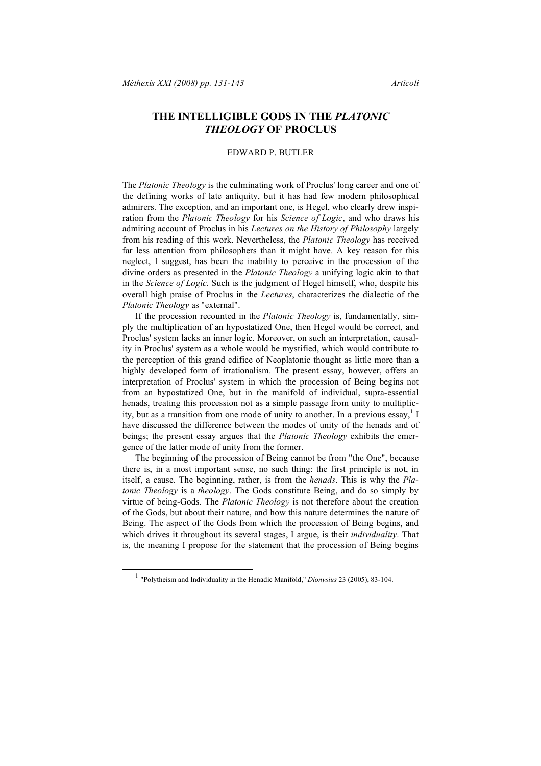## **THE INTELLIGIBLE GODS IN THE** *PLATONIC THEOLOGY* **OF PROCLUS**

## EDWARD P. BUTLER

The *Platonic Theology* is the culminating work of Proclus' long career and one of the defining works of late antiquity, but it has had few modern philosophical admirers. The exception, and an important one, is Hegel, who clearly drew inspiration from the *Platonic Theology* for his *Science of Logic*, and who draws his admiring account of Proclus in his *Lectures on the History of Philosophy* largely from his reading of this work. Nevertheless, the *Platonic Theology* has received far less attention from philosophers than it might have. A key reason for this neglect, I suggest, has been the inability to perceive in the procession of the divine orders as presented in the *Platonic Theology* a unifying logic akin to that in the *Science of Logic*. Such is the judgment of Hegel himself, who, despite his overall high praise of Proclus in the *Lectures*, characterizes the dialectic of the *Platonic Theology* as "external".

If the procession recounted in the *Platonic Theology* is, fundamentally, simply the multiplication of an hypostatized One, then Hegel would be correct, and Proclus' system lacks an inner logic. Moreover, on such an interpretation, causality in Proclus' system as a whole would be mystified, which would contribute to the perception of this grand edifice of Neoplatonic thought as little more than a highly developed form of irrationalism. The present essay, however, offers an interpretation of Proclus' system in which the procession of Being begins not from an hypostatized One, but in the manifold of individual, supra-essential henads, treating this procession not as a simple passage from unity to multiplicity, but as a transition from one mode of unity to another. In a previous essay, 1 I have discussed the difference between the modes of unity of the henads and of beings; the present essay argues that the *Platonic Theology* exhibits the emergence of the latter mode of unity from the former.

The beginning of the procession of Being cannot be from "the One", because there is, in a most important sense, no such thing: the first principle is not, in itself, a cause. The beginning, rather, is from the *henads*. This is why the *Platonic Theology* is a *theology*. The Gods constitute Being, and do so simply by virtue of being-Gods. The *Platonic Theology* is not therefore about the creation of the Gods, but about their nature, and how this nature determines the nature of Being. The aspect of the Gods from which the procession of Being begins, and which drives it throughout its several stages, I argue, is their *individuality*. That is, the meaning I propose for the statement that the procession of Being begins

 <sup>1</sup> "Polytheism and Individuality in the Henadic Manifold," *Dionysius* <sup>23</sup> (2005), 83-104.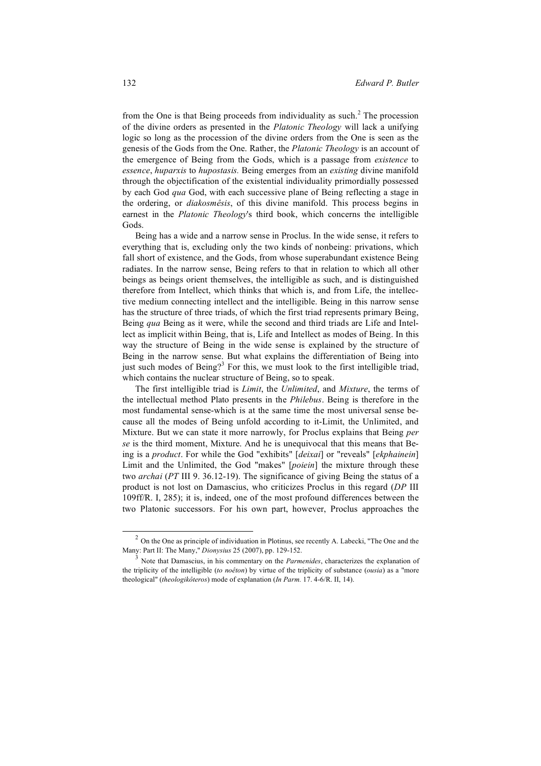from the One is that Being proceeds from individuality as such.<sup>2</sup> The procession of the divine orders as presented in the *Platonic Theology* will lack a unifying logic so long as the procession of the divine orders from the One is seen as the genesis of the Gods from the One. Rather, the *Platonic Theology* is an account of the emergence of Being from the Gods, which is a passage from *existence* to *essence*, *huparxis* to *hupostasis.* Being emerges from an *existing* divine manifold through the objectification of the existential individuality primordially possessed by each God *qua* God, with each successive plane of Being reflecting a stage in the ordering, or *diakosmêsis*, of this divine manifold. This process begins in earnest in the *Platonic Theology*'s third book, which concerns the intelligible Gods.

Being has a wide and a narrow sense in Proclus. In the wide sense, it refers to everything that is, excluding only the two kinds of nonbeing: privations, which fall short of existence, and the Gods, from whose superabundant existence Being radiates. In the narrow sense, Being refers to that in relation to which all other beings as beings orient themselves, the intelligible as such, and is distinguished therefore from Intellect, which thinks that which is, and from Life, the intellective medium connecting intellect and the intelligible. Being in this narrow sense has the structure of three triads, of which the first triad represents primary Being, Being *qua* Being as it were, while the second and third triads are Life and Intellect as implicit within Being, that is, Life and Intellect as modes of Being. In this way the structure of Being in the wide sense is explained by the structure of Being in the narrow sense. But what explains the differentiation of Being into just such modes of Being?<sup>3</sup> For this, we must look to the first intelligible triad, which contains the nuclear structure of Being, so to speak.

The first intelligible triad is *Limit*, the *Unlimited*, and *Mixture*, the terms of the intellectual method Plato presents in the *Philebus*. Being is therefore in the most fundamental sense-which is at the same time the most universal sense because all the modes of Being unfold according to it-Limit, the Unlimited, and Mixture. But we can state it more narrowly, for Proclus explains that Being *per se* is the third moment, Mixture. And he is unequivocal that this means that Being is a *product*. For while the God "exhibits" [*deixai*] or "reveals" [*ekphainein*] Limit and the Unlimited, the God "makes" [*poiein*] the mixture through these two *archai* (*PT* III 9. 36.12-19). The significance of giving Being the status of a product is not lost on Damascius, who criticizes Proclus in this regard (*DP* III 109ff/R. I, 285); it is, indeed, one of the most profound differences between the two Platonic successors. For his own part, however, Proclus approaches the

 $2$  On the One as principle of individuation in Plotinus, see recently A. Labecki, "The One and the Many: Part II: The Many," *Dionysius* 25 (2007), pp. 129-152.

<sup>3</sup> Note that Damascius, in his commentary on the *Parmenides*, characterizes the explanation of the triplicity of the intelligible (*to noêton*) by virtue of the triplicity of substance (*ousia*) as a "more theological" (*theologikôteros*) mode of explanation (*In Parm.* 17. 4-6/R. II, 14).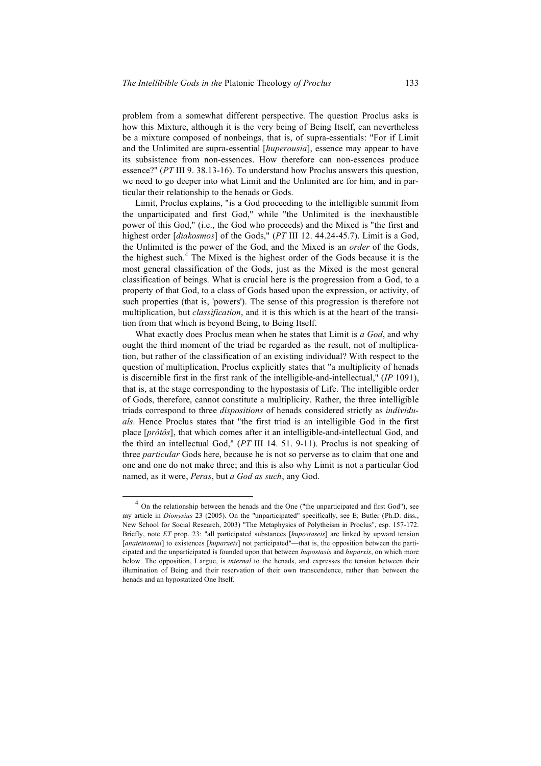problem from a somewhat different perspective. The question Proclus asks is how this Mixture, although it is the very being of Being Itself, can nevertheless be a mixture composed of nonbeings, that is, of supra-essentials: "For if Limit and the Unlimited are supra-essential [*huperousia*], essence may appear to have its subsistence from non-essences. How therefore can non-essences produce essence?" (*PT* III 9. 38.13-16). To understand how Proclus answers this question, we need to go deeper into what Limit and the Unlimited are for him, and in particular their relationship to the henads or Gods.

Limit, Proclus explains, "is a God proceeding to the intelligible summit from the unparticipated and first God," while "the Unlimited is the inexhaustible power of this God," (i.e., the God who proceeds) and the Mixed is "the first and highest order [*diakosmos*] of the Gods," (*PT* III 12. 44.24-45.7). Limit is a God, the Unlimited is the power of the God, and the Mixed is an *order* of the Gods, the highest such. <sup>4</sup> The Mixed is the highest order of the Gods because it is the most general classification of the Gods, just as the Mixed is the most general classification of beings. What is crucial here is the progression from a God, to a property of that God, to a class of Gods based upon the expression, or activity, of such properties (that is, 'powers'). The sense of this progression is therefore not multiplication, but *classification*, and it is this which is at the heart of the transition from that which is beyond Being, to Being Itself.

What exactly does Proclus mean when he states that Limit is *a God*, and why ought the third moment of the triad be regarded as the result, not of multiplication, but rather of the classification of an existing individual? With respect to the question of multiplication, Proclus explicitly states that "a multiplicity of henads is discernible first in the first rank of the intelligible-and-intellectual," (*IP* 1091), that is, at the stage corresponding to the hypostasis of Life. The intelligible order of Gods, therefore, cannot constitute a multiplicity. Rather, the three intelligible triads correspond to three *dispositions* of henads considered strictly as *individuals*. Hence Proclus states that "the first triad is an intelligible God in the first place [*prôtôs*], that which comes after it an intelligible-and-intellectual God, and the third an intellectual God," (*PT* III 14. 51. 9-11). Proclus is not speaking of three *particular* Gods here, because he is not so perverse as to claim that one and one and one do not make three; and this is also why Limit is not a particular God named, as it were, *Peras*, but *a God as such*, any God.

<sup>&</sup>lt;sup>4</sup> On the relationship between the henads and the One ("the unparticipated and first God"), see my article in *Dionysius* 23 (2005). On the "unparticipated" specifically, see E; Butler (Ph.D. diss., New School for Social Research, 2003) "The Metaphysics of Polytheism in Proclus", esp. 157-172. Briefly, note *ET* prop. 23: "all participated substances [*hupostaseis*] are linked by upward tension [*anateinontai*] to existences [*huparxeis*] not participated"—that is, the opposition between the participated and the unparticipated is founded upon that between *hupostasis* and *huparxis*, on which more below. The opposition, I argue, is *internal* to the henads, and expresses the tension between their illumination of Being and their reservation of their own transcendence, rather than between the henads and an hypostatized One Itself.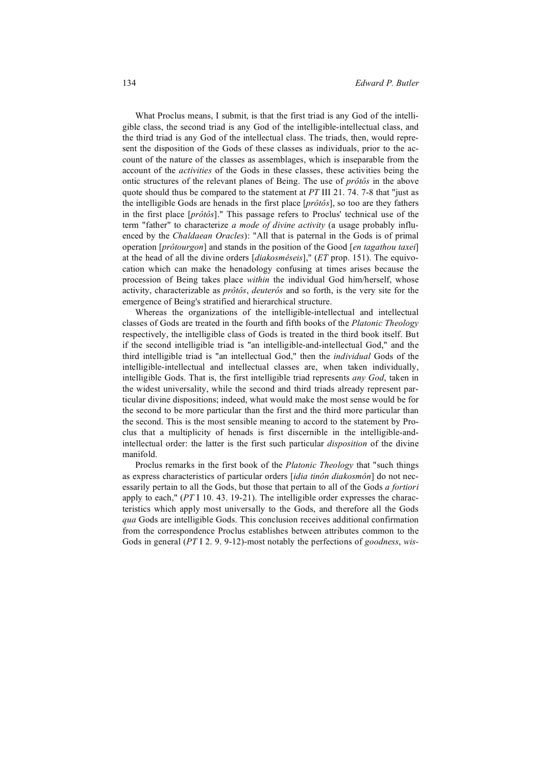What Proclus means, I submit, is that the first triad is any God of the intelligible class, the second triad is any God of the intelligible-intellectual class, and the third triad is any God of the intellectual class. The triads, then, would represent the disposition of the Gods of these classes as individuals, prior to the account of the nature of the classes as assemblages, which is inseparable from the account of the *activities* of the Gods in these classes, these activities being the ontic structures of the relevant planes of Being. The use of *prôtôs* in the above quote should thus be compared to the statement at *PT* III 21. 74. 7-8 that "just as the intelligible Gods are henads in the first place [*prôtôs*], so too are they fathers in the first place [*prôtôs*]." This passage refers to Proclus' technical use of the term "father" to characterize *a mode of divine activity* (a usage probably influenced by the *Chaldaean Oracles*): "All that is paternal in the Gods is of primal operation [*prôtourgon*] and stands in the position of the Good [*en tagathou taxei*] at the head of all the divine orders [*diakosmêseis*]," (*ET* prop. 151). The equivocation which can make the henadology confusing at times arises because the procession of Being takes place *within* the individual God him/herself, whose activity, characterizable as *prôtôs*, *deuterôs* and so forth, is the very site for the emergence of Being's stratified and hierarchical structure.

Whereas the organizations of the intelligible-intellectual and intellectual classes of Gods are treated in the fourth and fifth books of the *Platonic Theology* respectively, the intelligible class of Gods is treated in the third book itself. But if the second intelligible triad is "an intelligible-and-intellectual God," and the third intelligible triad is "an intellectual God," then the *individual* Gods of the intelligible-intellectual and intellectual classes are, when taken individually, intelligible Gods. That is, the first intelligible triad represents *any God*, taken in the widest universality, while the second and third triads already represent particular divine dispositions; indeed, what would make the most sense would be for the second to be more particular than the first and the third more particular than the second. This is the most sensible meaning to accord to the statement by Proclus that a multiplicity of henads is first discernible in the intelligible-andintellectual order: the latter is the first such particular *disposition* of the divine manifold.

Proclus remarks in the first book of the *Platonic Theology* that "such things as express characteristics of particular orders [*idia tinôn diakosmôn*] do not necessarily pertain to all the Gods, but those that pertain to all of the Gods *a fortiori* apply to each," (*PT* I 10. 43. 19-21). The intelligible order expresses the characteristics which apply most universally to the Gods, and therefore all the Gods *qua* Gods are intelligible Gods. This conclusion receives additional confirmation from the correspondence Proclus establishes between attributes common to the Gods in general (*PT* I 2. 9. 9-12)-most notably the perfections of *goodness*, *wis-*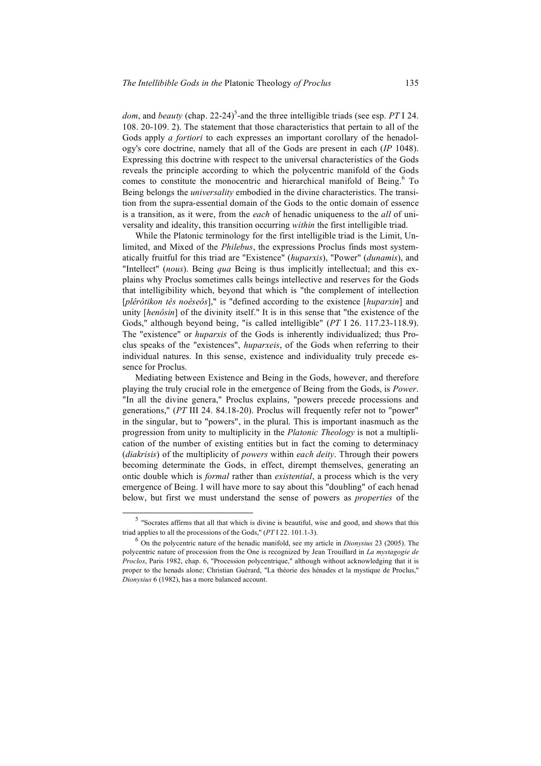dom, and *beauty* (chap. 22-24)<sup>5</sup>-and the three intelligible triads (see esp. PT I 24. 108. 20-109. 2). The statement that those characteristics that pertain to all of the Gods apply *a fortiori* to each expresses an important corollary of the henadology's core doctrine, namely that all of the Gods are present in each (*IP* 1048). Expressing this doctrine with respect to the universal characteristics of the Gods reveals the principle according to which the polycentric manifold of the Gods comes to constitute the monocentric and hierarchical manifold of Being. <sup>6</sup> To Being belongs the *universality* embodied in the divine characteristics. The transition from the supra-essential domain of the Gods to the ontic domain of essence is a transition, as it were, from the *each* of henadic uniqueness to the *all* of universality and ideality, this transition occurring *within* the first intelligible triad.

While the Platonic terminology for the first intelligible triad is the Limit, Unlimited, and Mixed of the *Philebus*, the expressions Proclus finds most systematically fruitful for this triad are "Existence" (*huparxis*), "Power" (*dunamis*), and "Intellect" (*nous*). Being *qua* Being is thus implicitly intellectual; and this explains why Proclus sometimes calls beings intellective and reserves for the Gods that intelligibility which, beyond that which is "the complement of intellection [*plêrôtikon tês noêseôs*]," is "defined according to the existence [*huparxin*] and unity [*henôsin*] of the divinity itself." It is in this sense that "the existence of the Gods," although beyond being, "is called intelligible" (*PT* I 26. 117.23-118.9). The "existence" or *huparxis* of the Gods is inherently individualized; thus Proclus speaks of the "existences", *huparxeis*, of the Gods when referring to their individual natures. In this sense, existence and individuality truly precede essence for Proclus.

Mediating between Existence and Being in the Gods, however, and therefore playing the truly crucial role in the emergence of Being from the Gods, is *Power*. "In all the divine genera," Proclus explains, "powers precede processions and generations," (*PT* III 24. 84.18-20). Proclus will frequently refer not to "power" in the singular, but to "powers", in the plural. This is important inasmuch as the progression from unity to multiplicity in the *Platonic Theology* is not a multiplication of the number of existing entities but in fact the coming to determinacy (*diakrisis*) of the multiplicity of *powers* within *each deity*. Through their powers becoming determinate the Gods, in effect, dirempt themselves, generating an ontic double which is *formal* rather than *existential*, a process which is the very emergence of Being. I will have more to say about this "doubling" of each henad below, but first we must understand the sense of powers as *properties* of the

 <sup>5</sup> "Socrates affirms that all that which is divine is beautiful, wise and good, and shows that this triad applies to all the processions of the Gods," (*PT* I 22. 101.1-3).

<sup>6</sup> On the polycentric nature of the henadic manifold, see my article in *Dionysius* <sup>23</sup> (2005). The polycentric nature of procession from the One is recognized by Jean Trouillard in *La mystagogie de Proclos*, Paris 1982, chap. 6, "Procession polycentrique," although without acknowledging that it is proper to the henads alone; Christian Guérard, "La théorie des hénades et la mystique de Proclus," *Dionysius* 6 (1982), has a more balanced account.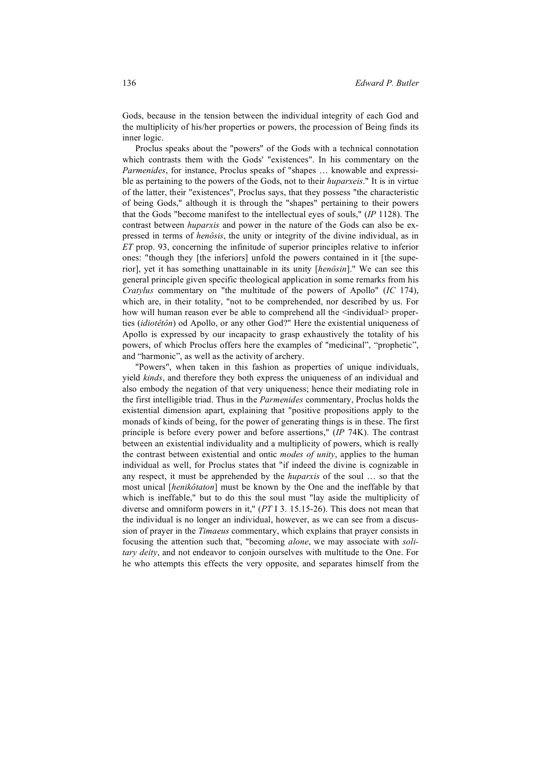Gods, because in the tension between the individual integrity of each God and the multiplicity of his/her properties or powers, the procession of Being finds its inner logic.

Proclus speaks about the "powers" of the Gods with a technical connotation which contrasts them with the Gods' "existences". In his commentary on the *Parmenides*, for instance, Proclus speaks of "shapes ... knowable and expressible as pertaining to the powers of the Gods, not to their *huparxeis*." It is in virtue of the latter, their "existences", Proclus says, that they possess "the characteristic of being Gods," although it is through the "shapes" pertaining to their powers that the Gods "become manifest to the intellectual eyes of souls," (*IP* 1128). The contrast between *huparxis* and power in the nature of the Gods can also be expressed in terms of *henôsis*, the unity or integrity of the divine individual, as in *ET* prop. 93, concerning the infinitude of superior principles relative to inferior ones: "though they [the inferiors] unfold the powers contained in it [the superior], yet it has something unattainable in its unity [*henôsin*]." We can see this general principle given specific theological application in some remarks from his *Cratylus* commentary on "the multitude of the powers of Apollo" (*IC* 174), which are, in their totality, "not to be comprehended, nor described by us. For how will human reason ever be able to comprehend all the  $\leq$ individual> properties (*idiotêtôn*) od Apollo, or any other God?" Here the existential uniqueness of Apollo is expressed by our incapacity to grasp exhaustively the totality of his powers, of which Proclus offers here the examples of "medicinal", "prophetic", and "harmonic", as well as the activity of archery.

"Powers", when taken in this fashion as properties of unique individuals, yield *kinds*, and therefore they both express the uniqueness of an individual and also embody the negation of that very uniqueness; hence their mediating role in the first intelligible triad. Thus in the *Parmenides* commentary, Proclus holds the existential dimension apart, explaining that "positive propositions apply to the monads of kinds of being, for the power of generating things is in these. The first principle is before every power and before assertions," (*IP* 74K). The contrast between an existential individuality and a multiplicity of powers, which is really the contrast between existential and ontic *modes of unity*, applies to the human individual as well, for Proclus states that "if indeed the divine is cognizable in any respect, it must be apprehended by the *huparxis* of the soul … so that the most unical [*henikôtaton*] must be known by the One and the ineffable by that which is ineffable," but to do this the soul must "lay aside the multiplicity of diverse and omniform powers in it," (*PT* I 3. 15.15-26). This does not mean that the individual is no longer an individual, however, as we can see from a discussion of prayer in the *Timaeus* commentary, which explains that prayer consists in focusing the attention such that, "becoming *alone*, we may associate with *solitary deity*, and not endeavor to conjoin ourselves with multitude to the One. For he who attempts this effects the very opposite, and separates himself from the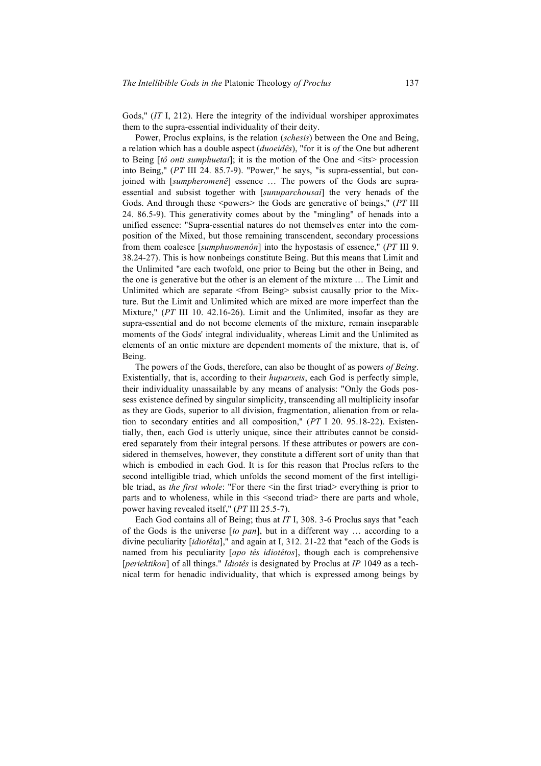Gods," (*IT* I, 212). Here the integrity of the individual worshiper approximates them to the supra-essential individuality of their deity.

Power, Proclus explains, is the relation (*schesis*) between the One and Being, a relation which has a double aspect (*duoeidês*), "for it is *of* the One but adherent to Being [*tô onti sumphuetai*]; it is the motion of the One and <its> procession into Being," (*PT* III 24. 85.7-9). "Power," he says, "is supra-essential, but conjoined with [*sumpheromenê*] essence … The powers of the Gods are supraessential and subsist together with [*sunuparchousai*] the very henads of the Gods. And through these <powers> the Gods are generative of beings," (*PT* III 24. 86.5-9). This generativity comes about by the "mingling" of henads into a unified essence: "Supra-essential natures do not themselves enter into the composition of the Mixed, but those remaining transcendent, secondary processions from them coalesce [*sumphuomenôn*] into the hypostasis of essence," (*PT* III 9. 38.24-27). This is how nonbeings constitute Being. But this means that Limit and the Unlimited "are each twofold, one prior to Being but the other in Being, and the one is generative but the other is an element of the mixture … The Limit and Unlimited which are separate <from Being> subsist causally prior to the Mixture. But the Limit and Unlimited which are mixed are more imperfect than the Mixture," (*PT* III 10. 42.16-26). Limit and the Unlimited, insofar as they are supra-essential and do not become elements of the mixture, remain inseparable moments of the Gods' integral individuality, whereas Limit and the Unlimited as elements of an ontic mixture are dependent moments of the mixture, that is, of Being.

The powers of the Gods, therefore, can also be thought of as powers *of Being*. Existentially, that is, according to their *huparxeis*, each God is perfectly simple, their individuality unassailable by any means of analysis: "Only the Gods possess existence defined by singular simplicity, transcending all multiplicity insofar as they are Gods, superior to all division, fragmentation, alienation from or relation to secondary entities and all composition," (*PT* I 20. 95.18-22). Existentially, then, each God is utterly unique, since their attributes cannot be considered separately from their integral persons. If these attributes or powers are considered in themselves, however, they constitute a different sort of unity than that which is embodied in each God. It is for this reason that Proclus refers to the second intelligible triad, which unfolds the second moment of the first intelligible triad, as *the first whole*: "For there <in the first triad> everything is prior to parts and to wholeness, while in this <second triad> there are parts and whole, power having revealed itself," (*PT* III 25.5-7).

Each God contains all of Being; thus at *IT* I, 308. 3-6 Proclus says that "each of the Gods is the universe [*to pan*], but in a different way … according to a divine peculiarity [*idiotêta*]," and again at I, 312. 21-22 that "each of the Gods is named from his peculiarity [*apo tês idiotêtos*], though each is comprehensive [*periektikon*] of all things." *Idiotês* is designated by Proclus at *IP* 1049 as a technical term for henadic individuality, that which is expressed among beings by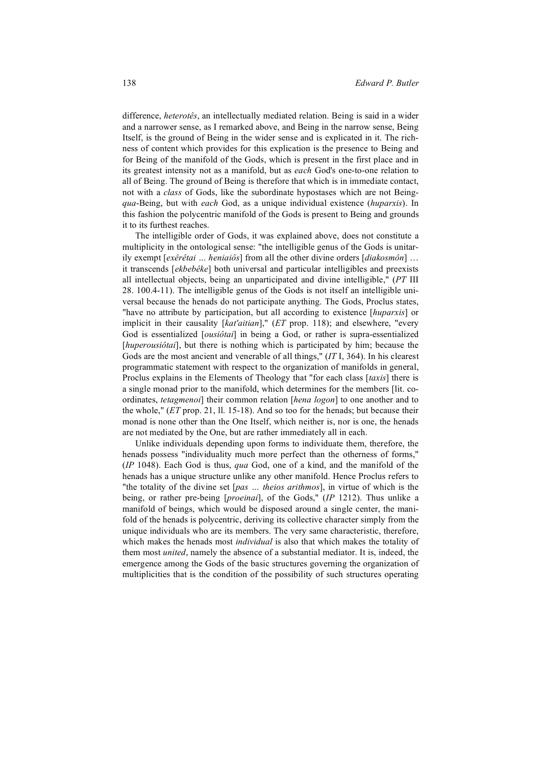difference, *heterotês*, an intellectually mediated relation. Being is said in a wider and a narrower sense, as I remarked above, and Being in the narrow sense, Being Itself, is the ground of Being in the wider sense and is explicated in it. The richness of content which provides for this explication is the presence to Being and for Being of the manifold of the Gods, which is present in the first place and in its greatest intensity not as a manifold, but as *each* God's one-to-one relation to all of Being. The ground of Being is therefore that which is in immediate contact, not with a *class* of Gods, like the subordinate hypostases which are not Being*qua*-Being, but with *each* God, as a unique individual existence (*huparxis*). In this fashion the polycentric manifold of the Gods is present to Being and grounds it to its furthest reaches.

The intelligible order of Gods, it was explained above, does not constitute a multiplicity in the ontological sense: "the intelligible genus of the Gods is unitarily exempt [*exêrêtai … heniaiôs*] from all the other divine orders [*diakosmôn*] … it transcends [*ekbebêke*] both universal and particular intelligibles and preexists all intellectual objects, being an unparticipated and divine intelligible," (*PT* III 28. 100.4-11). The intelligible genus of the Gods is not itself an intelligible universal because the henads do not participate anything. The Gods, Proclus states, "have no attribute by participation, but all according to existence [*huparxis*] or implicit in their causality [*kat'aitian*]," (*ET* prop. 118); and elsewhere, "every God is essentialized [*ousiôtai*] in being a God, or rather is supra-essentialized [*huperousiôtai*], but there is nothing which is participated by him; because the Gods are the most ancient and venerable of all things," (*IT* I, 364). In his clearest programmatic statement with respect to the organization of manifolds in general, Proclus explains in the Elements of Theology that "for each class [*taxis*] there is a single monad prior to the manifold, which determines for the members [lit. coordinates, *tetagmenoi*] their common relation [*hena logon*] to one another and to the whole," (*ET* prop. 21, ll. 15-18). And so too for the henads; but because their monad is none other than the One Itself, which neither is, nor is one, the henads are not mediated by the One, but are rather immediately all in each.

Unlike individuals depending upon forms to individuate them, therefore, the henads possess "individuality much more perfect than the otherness of forms," (*IP* 1048). Each God is thus, *qua* God, one of a kind, and the manifold of the henads has a unique structure unlike any other manifold. Hence Proclus refers to "the totality of the divine set [*pas … theios arithmos*], in virtue of which is the being, or rather pre-being [*proeinai*], of the Gods," (*IP* 1212). Thus unlike a manifold of beings, which would be disposed around a single center, the manifold of the henads is polycentric, deriving its collective character simply from the unique individuals who are its members. The very same characteristic, therefore, which makes the henads most *individual* is also that which makes the totality of them most *united*, namely the absence of a substantial mediator. It is, indeed, the emergence among the Gods of the basic structures governing the organization of multiplicities that is the condition of the possibility of such structures operating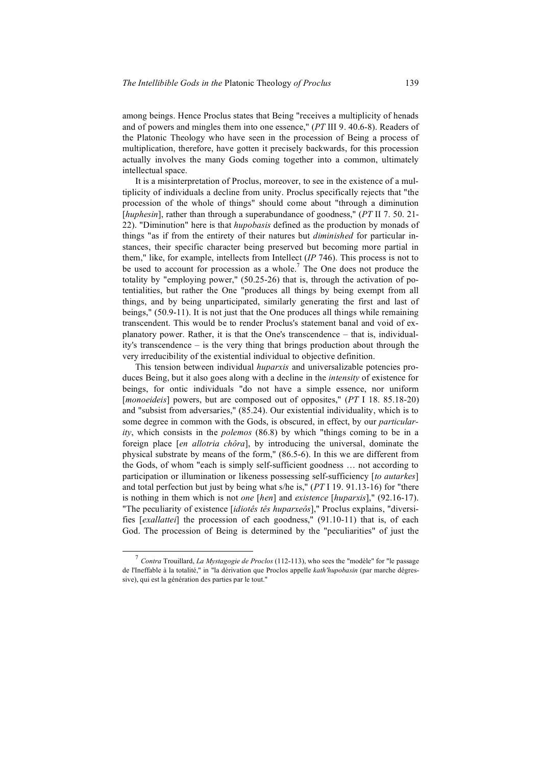among beings. Hence Proclus states that Being "receives a multiplicity of henads and of powers and mingles them into one essence," (*PT* III 9. 40.6-8). Readers of the Platonic Theology who have seen in the procession of Being a process of multiplication, therefore, have gotten it precisely backwards, for this procession actually involves the many Gods coming together into a common, ultimately intellectual space.

It is a misinterpretation of Proclus, moreover, to see in the existence of a multiplicity of individuals a decline from unity. Proclus specifically rejects that "the procession of the whole of things" should come about "through a diminution [*huphesin*], rather than through a superabundance of goodness," (*PT* II 7.50.21-22). "Diminution" here is that *hupobasis* defined as the production by monads of things "as if from the entirety of their natures but *diminished* for particular instances, their specific character being preserved but becoming more partial in them," like, for example, intellects from Intellect (*IP* 746). This process is not to be used to account for procession as a whole.<sup>7</sup> The One does not produce the totality by "employing power," (50.25-26) that is, through the activation of potentialities, but rather the One "produces all things by being exempt from all things, and by being unparticipated, similarly generating the first and last of beings," (50.9-11). It is not just that the One produces all things while remaining transcendent. This would be to render Proclus's statement banal and void of explanatory power. Rather, it is that the One's transcendence – that is, individuality's transcendence – is the very thing that brings production about through the very irreducibility of the existential individual to objective definition.

This tension between individual *huparxis* and universalizable potencies produces Being, but it also goes along with a decline in the *intensity* of existence for beings, for ontic individuals "do not have a simple essence, nor uniform [*monoeideis*] powers, but are composed out of opposites," (*PT* I 18. 85.18-20) and "subsist from adversaries," (85.24). Our existential individuality, which is to some degree in common with the Gods, is obscured, in effect, by our *particularity*, which consists in the *polemos* (86.8) by which "things coming to be in a foreign place [*en allotria chôra*], by introducing the universal, dominate the physical substrate by means of the form," (86.5-6). In this we are different from the Gods, of whom "each is simply self-sufficient goodness … not according to participation or illumination or likeness possessing self-sufficiency [*to autarkes*] and total perfection but just by being what s/he is," (*PT* I 19. 91.13-16) for "there is nothing in them which is not *one* [*hen*] and *existence* [*huparxis*]," (92.16-17). "The peculiarity of existence [*idiotês tês huparxeôs*]," Proclus explains, "diversifies [*exallattei*] the procession of each goodness," (91.10-11) that is, of each God. The procession of Being is determined by the "peculiarities" of just the

 <sup>7</sup> *Contra* Trouillard, *La Mystagogie de Proclos* (112-113), who sees the "modèle" for "le passage de l'Ineffable à la totalité," in "la dérivation que Proclos appelle *kath'hupobasin* (par marche dégressive), qui est la génération des parties par le tout."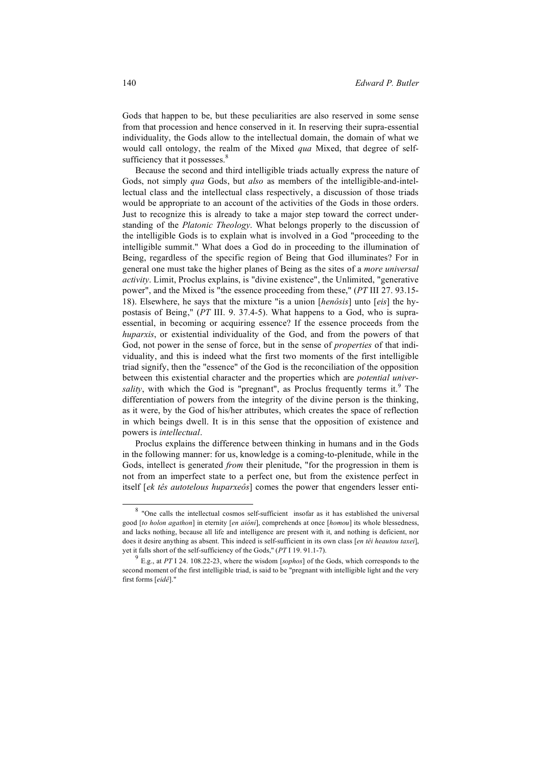Gods that happen to be, but these peculiarities are also reserved in some sense from that procession and hence conserved in it. In reserving their supra-essential individuality, the Gods allow to the intellectual domain, the domain of what we would call ontology, the realm of the Mixed *qua* Mixed, that degree of selfsufficiency that it possesses. $8^8$ 

Because the second and third intelligible triads actually express the nature of Gods, not simply *qua* Gods, but *also* as members of the intelligible-and-intellectual class and the intellectual class respectively, a discussion of those triads would be appropriate to an account of the activities of the Gods in those orders. Just to recognize this is already to take a major step toward the correct understanding of the *Platonic Theology*. What belongs properly to the discussion of the intelligible Gods is to explain what is involved in a God "proceeding to the intelligible summit." What does a God do in proceeding to the illumination of Being, regardless of the specific region of Being that God illuminates? For in general one must take the higher planes of Being as the sites of a *more universal activity*. Limit, Proclus explains, is "divine existence", the Unlimited, "generative power", and the Mixed is "the essence proceeding from these," (*PT* III 27. 93.15- 18). Elsewhere, he says that the mixture "is a union [*henôsis*] unto [*eis*] the hypostasis of Being," (*PT* III. 9. 37.4-5). What happens to a God, who is supraessential, in becoming or acquiring essence? If the essence proceeds from the *huparxis*, or existential individuality of the God, and from the powers of that God, not power in the sense of force, but in the sense of *properties* of that individuality, and this is indeed what the first two moments of the first intelligible triad signify, then the "essence" of the God is the reconciliation of the opposition between this existential character and the properties which are *potential univer*sality, with which the God is "pregnant", as Proclus frequently terms it.<sup>9</sup> The differentiation of powers from the integrity of the divine person is the thinking, as it were, by the God of his/her attributes, which creates the space of reflection in which beings dwell. It is in this sense that the opposition of existence and powers is *intellectual*.

Proclus explains the difference between thinking in humans and in the Gods in the following manner: for us, knowledge is a coming-to-plenitude, while in the Gods, intellect is generated *from* their plenitude, "for the progression in them is not from an imperfect state to a perfect one, but from the existence perfect in itself [*ek tês autotelous huparxeôs*] comes the power that engenders lesser enti-

 <sup>8</sup> "One calls the intellectual cosmos self-sufficient insofar as it has established the universal good [*to holon agathon*] in eternity [*en aiôni*], comprehends at once [*homou*] its whole blessedness, and lacks nothing, because all life and intelligence are present with it, and nothing is deficient, nor does it desire anything as absent. This indeed is self-sufficient in its own class [*en têi heautou taxei*], yet it falls short of the self-sufficiency of the Gods," (*PT* I 19. 91.1-7).

<sup>9</sup> E.g., at *PT* I 24. 108.22-23, where the wisdom [*sophos*] of the Gods, which corresponds to the second moment of the first intelligible triad, is said to be "pregnant with intelligible light and the very first forms [*eidê*]."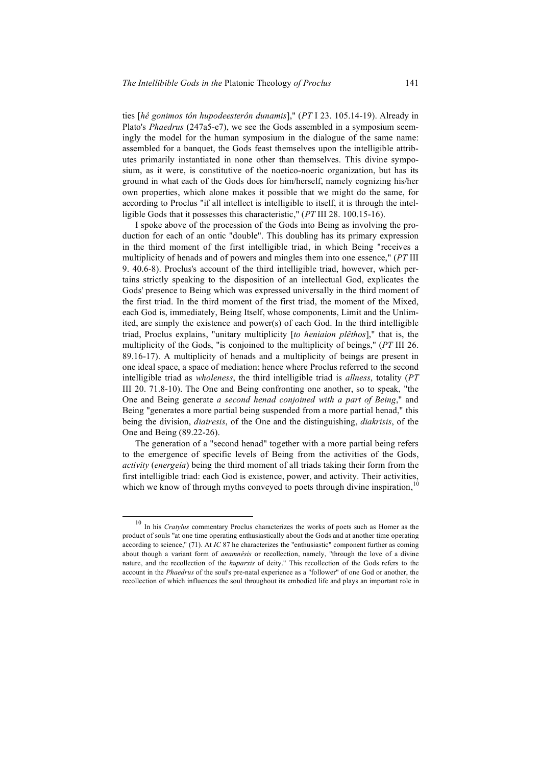ties [*hê gonimos tôn hupodeesterôn dunamis*]," (*PT* I 23. 105.14-19). Already in Plato's *Phaedrus* (247a5-e7), we see the Gods assembled in a symposium seemingly the model for the human symposium in the dialogue of the same name: assembled for a banquet, the Gods feast themselves upon the intelligible attributes primarily instantiated in none other than themselves. This divine symposium, as it were, is constitutive of the noetico-noeric organization, but has its ground in what each of the Gods does for him/herself, namely cognizing his/her own properties, which alone makes it possible that we might do the same, for according to Proclus "if all intellect is intelligible to itself, it is through the intelligible Gods that it possesses this characteristic," (*PT* III 28. 100.15-16).

I spoke above of the procession of the Gods into Being as involving the production for each of an ontic "double". This doubling has its primary expression in the third moment of the first intelligible triad, in which Being "receives a multiplicity of henads and of powers and mingles them into one essence," (*PT* III 9. 40.6-8). Proclus's account of the third intelligible triad, however, which pertains strictly speaking to the disposition of an intellectual God, explicates the Gods' presence to Being which was expressed universally in the third moment of the first triad. In the third moment of the first triad, the moment of the Mixed, each God is, immediately, Being Itself, whose components, Limit and the Unlimited, are simply the existence and power(s) of each God. In the third intelligible triad, Proclus explains, "unitary multiplicity [*to heniaion plêthos*]," that is, the multiplicity of the Gods, "is conjoined to the multiplicity of beings," (*PT* III 26. 89.16-17). A multiplicity of henads and a multiplicity of beings are present in one ideal space, a space of mediation; hence where Proclus referred to the second intelligible triad as *wholeness*, the third intelligible triad is *allness*, totality (*PT* III 20. 71.8-10). The One and Being confronting one another, so to speak, "the One and Being generate *a second henad conjoined with a part of Being*," and Being "generates a more partial being suspended from a more partial henad," this being the division, *diairesis*, of the One and the distinguishing, *diakrisis*, of the One and Being (89.22-26).

The generation of a "second henad" together with a more partial being refers to the emergence of specific levels of Being from the activities of the Gods, *activity* (*energeia*) being the third moment of all triads taking their form from the first intelligible triad: each God is existence, power, and activity. Their activities, which we know of through myths conveyed to poets through divine inspiration,<sup>10</sup>

 <sup>10</sup> In his *Cratylus* commentary Proclus characterizes the works of poets such as Homer as the product of souls "at one time operating enthusiastically about the Gods and at another time operating according to science," (71). At *IC* 87 he characterizes the "enthusiastic" component further as coming about though a variant form of *anamnêsis* or recollection, namely, "through the love of a divine nature, and the recollection of the *huparxis* of deity." This recollection of the Gods refers to the account in the *Phaedrus* of the soul's pre-natal experience as a "follower" of one God or another, the recollection of which influences the soul throughout its embodied life and plays an important role in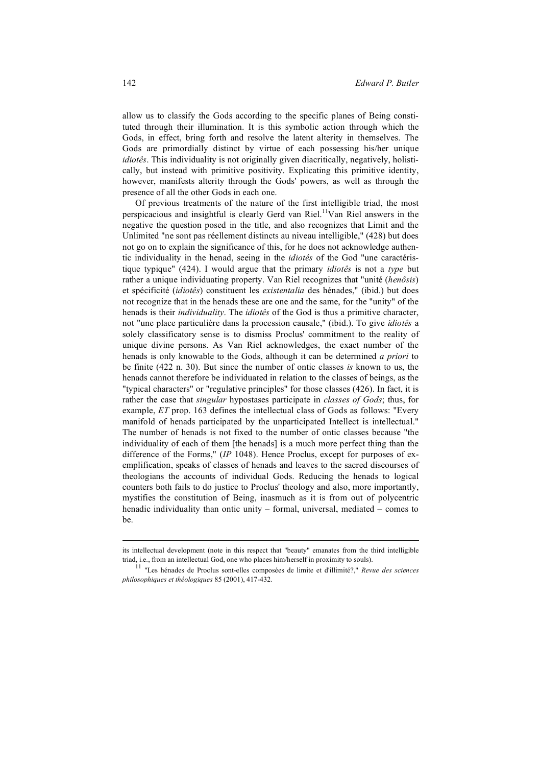allow us to classify the Gods according to the specific planes of Being constituted through their illumination. It is this symbolic action through which the Gods, in effect, bring forth and resolve the latent alterity in themselves. The Gods are primordially distinct by virtue of each possessing his/her unique *idiotês*. This individuality is not originally given diacritically, negatively, holistically, but instead with primitive positivity. Explicating this primitive identity, however, manifests alterity through the Gods' powers, as well as through the presence of all the other Gods in each one.

Of previous treatments of the nature of the first intelligible triad, the most perspicacious and insightful is clearly Gerd van Riel.<sup>11</sup>Van Riel answers in the negative the question posed in the title, and also recognizes that Limit and the Unlimited "ne sont pas réellement distincts au niveau intelligible," (428) but does not go on to explain the significance of this, for he does not acknowledge authentic individuality in the henad, seeing in the *idiotês* of the God "une caractéristique typique" (424). I would argue that the primary *idiotês* is not a *type* but rather a unique individuating property. Van Riel recognizes that "unité (*henôsis*) et spécificité (*idiotês*) constituent les *existentalia* des hénades," (ibid.) but does not recognize that in the henads these are one and the same, for the "unity" of the henads is their *individuality*. The *idiotês* of the God is thus a primitive character, not "une place particulière dans la procession causale," (ibid.). To give *idiotês* a solely classificatory sense is to dismiss Proclus' commitment to the reality of unique divine persons. As Van Riel acknowledges, the exact number of the henads is only knowable to the Gods, although it can be determined *a priori* to be finite (422 n. 30). But since the number of ontic classes *is* known to us, the henads cannot therefore be individuated in relation to the classes of beings, as the "typical characters" or "regulative principles" for those classes (426). In fact, it is rather the case that *singular* hypostases participate in *classes of Gods*; thus, for example, *ET* prop. 163 defines the intellectual class of Gods as follows: "Every manifold of henads participated by the unparticipated Intellect is intellectual." The number of henads is not fixed to the number of ontic classes because "the individuality of each of them [the henads] is a much more perfect thing than the difference of the Forms," (*IP* 1048). Hence Proclus, except for purposes of exemplification, speaks of classes of henads and leaves to the sacred discourses of theologians the accounts of individual Gods. Reducing the henads to logical counters both fails to do justice to Proclus' theology and also, more importantly, mystifies the constitution of Being, inasmuch as it is from out of polycentric henadic individuality than ontic unity – formal, universal, mediated – comes to be.

its intellectual development (note in this respect that "beauty" emanates from the third intelligible triad, i.e., from an intellectual God, one who places him/herself in proximity to souls).

<sup>11</sup> "Les hénades de Proclus sont-elles composées de limite et d'illimité?," *Revue des sciences philosophiques et théologiques* 85 (2001), 417-432.